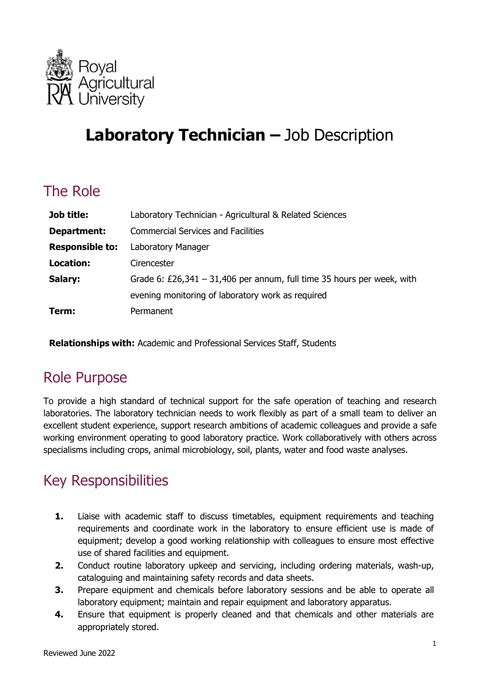

# **Laboratory Technician –** Job Description

### The Role

| Job title:             | Laboratory Technician - Agricultural & Related Sciences                  |
|------------------------|--------------------------------------------------------------------------|
| Department:            | <b>Commercial Services and Facilities</b>                                |
| <b>Responsible to:</b> | Laboratory Manager                                                       |
| Location:              | Cirencester                                                              |
| Salary:                | Grade 6: $£26,341 - 31,406$ per annum, full time 35 hours per week, with |
|                        | evening monitoring of laboratory work as required                        |
| Term:                  | Permanent                                                                |

**Relationships with:** Academic and Professional Services Staff, Students

### Role Purpose

 To provide a high standard of technical support for the safe operation of teaching and research laboratories. The laboratory technician needs to work flexibly as part of a small team to deliver an excellent student experience, support research ambitions of academic colleagues and provide a safe working environment operating to good laboratory practice. Work collaboratively with others across specialisms including crops, animal microbiology, soil, plants, water and food waste analyses.

# Key Responsibilities

- **1.** Liaise with academic staff to discuss timetables, equipment requirements and teaching requirements and coordinate work in the laboratory to ensure efficient use is made of equipment; develop a good working relationship with colleagues to ensure most effective use of shared facilities and equipment.
- **2.** Conduct routine laboratory upkeep and servicing, including ordering materials, wash-up, cataloguing and maintaining safety records and data sheets.
- **3.** Prepare equipment and chemicals before laboratory sessions and be able to operate all laboratory equipment; maintain and repair equipment and laboratory apparatus.
- **4.** Ensure that equipment is properly cleaned and that chemicals and other materials are appropriately stored.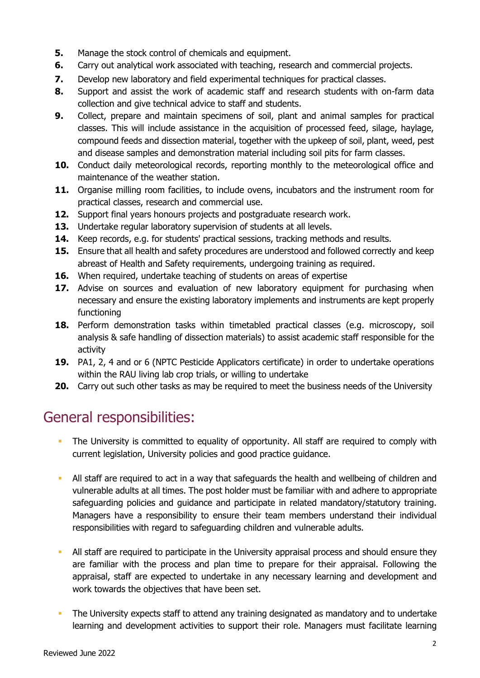- **5.** Manage the stock control of chemicals and equipment.
- **6.** Carry out analytical work associated with teaching, research and commercial projects.
- **7.** Develop new laboratory and field experimental techniques for practical classes.
- **8.** Support and assist the work of academic staff and research students with on-farm data collection and give technical advice to staff and students.
- **9.** Collect, prepare and maintain specimens of soil, plant and animal samples for practical classes. This will include assistance in the acquisition of processed feed, silage, haylage, compound feeds and dissection material, together with the upkeep of soil, plant, weed, pest and disease samples and demonstration material including soil pits for farm classes.
- **10.** Conduct daily meteorological records, reporting monthly to the meteorological office and maintenance of the weather station.
- 11. Organise milling room facilities, to include ovens, incubators and the instrument room for practical classes, research and commercial use.
- **12.** Support final years honours projects and postgraduate research work.
- 13. Undertake regular laboratory supervision of students at all levels.
- **14.** Keep records, e.g. for students' practical sessions, tracking methods and results.
- **15.** Ensure that all health and safety procedures are understood and followed correctly and keep abreast of Health and Safety requirements, undergoing training as required.
- **16.** When required, undertake teaching of students on areas of expertise
- **17.** Advise on sources and evaluation of new laboratory equipment for purchasing when necessary and ensure the existing laboratory implements and instruments are kept properly functioning
- **18.** Perform demonstration tasks within timetabled practical classes (e.g. microscopy, soil analysis & safe handling of dissection materials) to assist academic staff responsible for the activity
- **19.** PA1, 2, 4 and or 6 (NPTC Pesticide Applicators certificate) in order to undertake operations within the RAU living lab crop trials, or willing to undertake
- **20.** Carry out such other tasks as may be required to meet the business needs of the University

#### General responsibilities:

- The University is committed to equality of opportunity. All staff are required to comply with current legislation, University policies and good practice guidance.
- safeguarding policies and guidance and participate in related mandatory/statutory training. Managers have a responsibility to ensure their team members understand their individual **•** All staff are required to act in a way that safeguards the health and wellbeing of children and vulnerable adults at all times. The post holder must be familiar with and adhere to appropriate responsibilities with regard to safeguarding children and vulnerable adults.
- are familiar with the process and plan time to prepare for their appraisal. Following the **All staff are required to participate in the University appraisal process and should ensure they** appraisal, staff are expected to undertake in any necessary learning and development and work towards the objectives that have been set.
- learning and development activities to support their role. Managers must facilitate learning **The University expects staff to attend any training designated as mandatory and to undertake**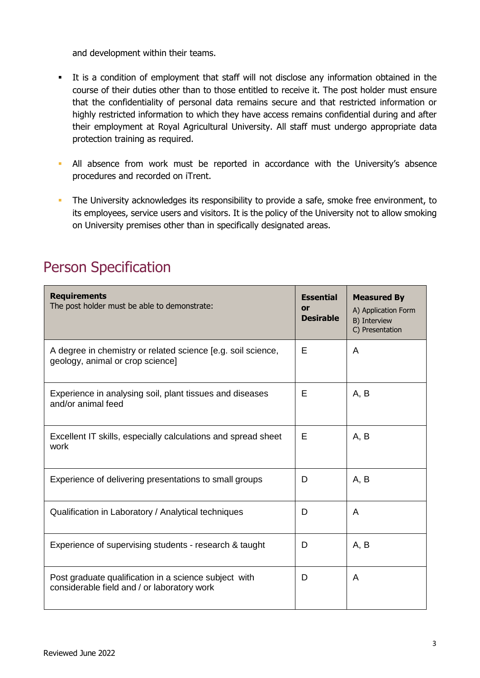and development within their teams.

- It is a condition of employment that staff will not disclose any information obtained in the that the confidentiality of personal data remains secure and that restricted information or highly restricted information to which they have access remains confidential during and after their employment at Royal Agricultural University. All staff must undergo appropriate data course of their duties other than to those entitled to receive it. The post holder must ensure protection training as required.
- All absence from work must be reported in accordance with the University's absence procedures and recorded on iTrent.
- The University acknowledges its responsibility to provide a safe, smoke free environment, to its employees, service users and visitors. It is the policy of the University not to allow smoking on University premises other than in specifically designated areas.

| <b>Requirements</b><br>The post holder must be able to demonstrate:                                  | <b>Essential</b><br>or<br><b>Desirable</b> | <b>Measured By</b><br>A) Application Form<br>B) Interview<br>C) Presentation |
|------------------------------------------------------------------------------------------------------|--------------------------------------------|------------------------------------------------------------------------------|
| A degree in chemistry or related science [e.g. soil science,<br>geology, animal or crop science]     | E                                          | A                                                                            |
| Experience in analysing soil, plant tissues and diseases<br>and/or animal feed                       | E                                          | A, B                                                                         |
| Excellent IT skills, especially calculations and spread sheet<br>work                                | Е                                          | A, B                                                                         |
| Experience of delivering presentations to small groups                                               | D                                          | A, B                                                                         |
| Qualification in Laboratory / Analytical techniques                                                  | D                                          | A                                                                            |
| Experience of supervising students - research & taught                                               | D                                          | A, B                                                                         |
| Post graduate qualification in a science subject with<br>considerable field and / or laboratory work | D                                          | A                                                                            |

### Person Specification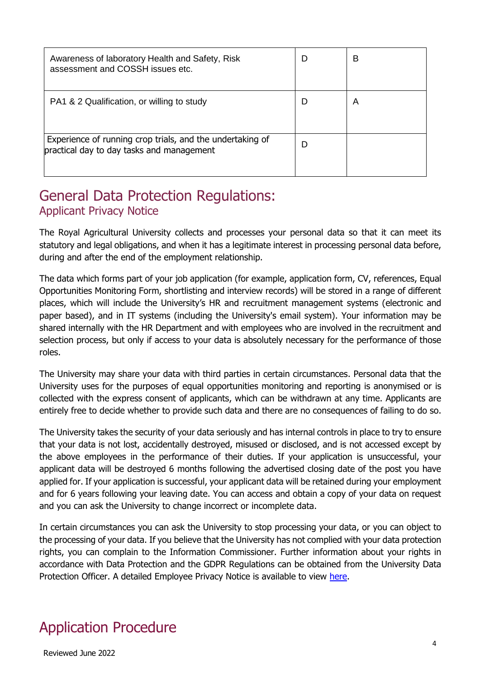| Awareness of laboratory Health and Safety, Risk<br>assessment and COSSH issues etc.                    | в |
|--------------------------------------------------------------------------------------------------------|---|
| PA1 & 2 Qualification, or willing to study                                                             | A |
| Experience of running crop trials, and the undertaking of<br>practical day to day tasks and management |   |

#### General Data Protection Regulations: Applicant Privacy Notice

 The Royal Agricultural University collects and processes your personal data so that it can meet its statutory and legal obligations, and when it has a legitimate interest in processing personal data before, during and after the end of the employment relationship.

 The data which forms part of your job application (for example, application form, CV, references, Equal places, which will include the University's HR and recruitment management systems (electronic and paper based), and in IT systems (including the University's email system). Your information may be shared internally with the HR Department and with employees who are involved in the recruitment and selection process, but only if access to your data is absolutely necessary for the performance of those Opportunities Monitoring Form, shortlisting and interview records) will be stored in a range of different roles.

 The University may share your data with third parties in certain circumstances. Personal data that the University uses for the purposes of equal opportunities monitoring and reporting is anonymised or is collected with the express consent of applicants, which can be withdrawn at any time. Applicants are entirely free to decide whether to provide such data and there are no consequences of failing to do so.

 The University takes the security of your data seriously and has internal controls in place to try to ensure that your data is not lost, accidentally destroyed, misused or disclosed, and is not accessed except by the above employees in the performance of their duties. If your application is unsuccessful, your applicant data will be destroyed 6 months following the advertised closing date of the post you have and for 6 years following your leaving date. You can access and obtain a copy of your data on request applied for. If your application is successful, your applicant data will be retained during your employment and you can ask the University to change incorrect or incomplete data.

 In certain circumstances you can ask the University to stop processing your data, or you can object to the processing of your data. If you believe that the University has not complied with your data protection rights, you can complain to the Information Commissioner. Further information about your rights in accordance with Data Protection and the GDPR Regulations can be obtained from the University Data Protection Officer. A detailed Employee Privacy Notice is available to view [here.](https://www.rau.ac.uk/privacy-notices)

# Application Procedure